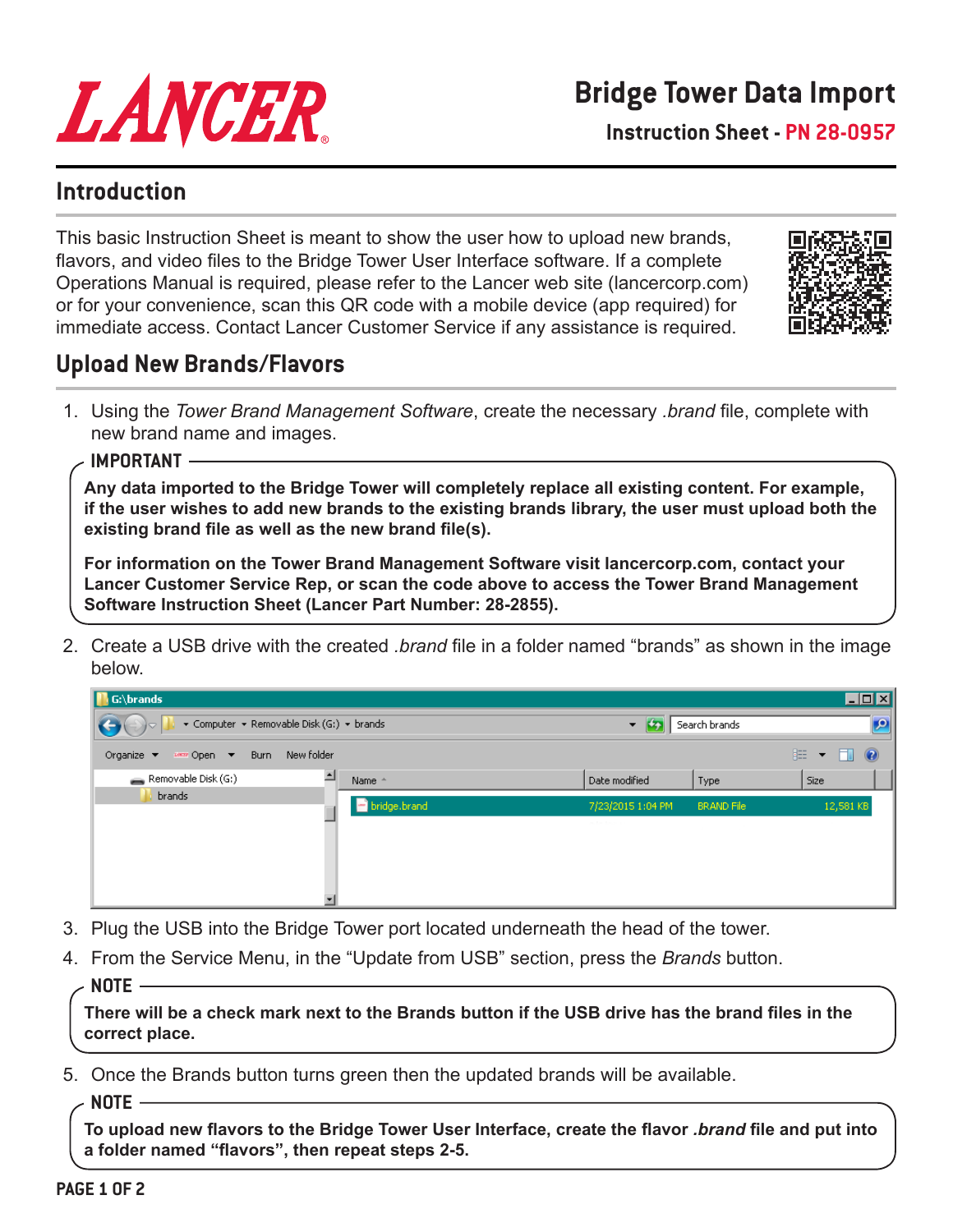

**Instruction Sheet - PN 28-0957**

## **Introduction**

This basic Instruction Sheet is meant to show the user how to upload new brands, flavors, and video files to the Bridge Tower User Interface software. If a complete Operations Manual is required, please refer to the Lancer web site (lancercorp.com) or for your convenience, scan this QR code with a mobile device (app required) for immediate access. Contact Lancer Customer Service if any assistance is required.



# **Upload New Brands/Flavors**

- 1. Using the *Tower Brand Management Software*, create the necessary *.brand* file, complete with new brand name and images.
	- **IMPORTANT**

**Any data imported to the Bridge Tower will completely replace all existing content. For example, if the user wishes to add new brands to the existing brands library, the user must upload both the existing brand file as well as the new brand file(s).** 

**For information on the Tower Brand Management Software visit lancercorp.com, contact your Lancer Customer Service Rep, or scan the code above to access the Tower Brand Management Software Instruction Sheet (Lancer Part Number: 28-2855).**

2. Create a USB drive with the created *.brand* file in a folder named "brands" as shown in the image below.

| $\Box$ DIX<br>$\prod_{i} G_i\backslash$ brands               |                  |              |                                         |                            |                                            |  |  |  |
|--------------------------------------------------------------|------------------|--------------|-----------------------------------------|----------------------------|--------------------------------------------|--|--|--|
| ▼ Computer ▼ Removable Disk (G:) ▼ brands<br>$(\rightarrow)$ |                  |              | $\sim$<br>$\blacktriangledown$          | $\bullet$<br>Search brands |                                            |  |  |  |
| Organize $\blacktriangledown$<br><u>wana</u> Open ▼          | Burn New folder  |              |                                         |                            | 胆<br>ı<br>$\circledcirc$<br>$\blacksquare$ |  |  |  |
| Removable Disk (G:)                                          | $\blacktriangle$ | Name -       | Date modified                           | Type                       | Size                                       |  |  |  |
| brands                                                       |                  | bridge.brand | 7/23/2015 1:04 PM<br>and their form and | <b>BRAND File</b>          | 12,581 KB                                  |  |  |  |

- 3. Plug the USB into the Bridge Tower port located underneath the head of the tower.
- 4. From the Service Menu, in the "Update from USB" section, press the *Brands* button.
	- **NOTE**

**There will be a check mark next to the Brands button if the USB drive has the brand files in the correct place.**

5. Once the Brands button turns green then the updated brands will be available.

**NOTE**

**To upload new flavors to the Bridge Tower User Interface, create the flavor** *.brand* **file and put into a folder named "flavors", then repeat steps 2-5.**